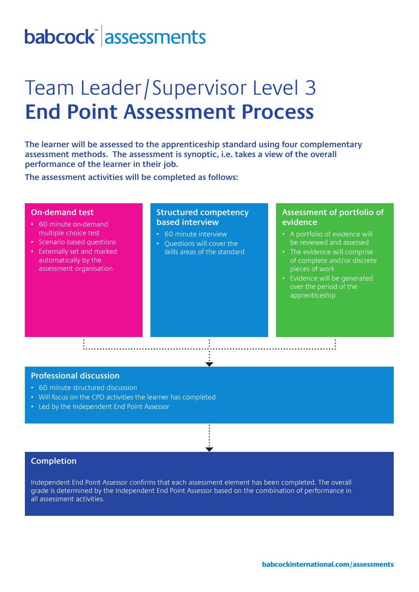## babcock assessments

## Team Leader/Supervisor Level 3 **End Point Assessment Process**

**The learner will be assessed to the apprenticeship standard using four complementary assessment methods. The assessment is synoptic, i.e. takes a view of the overall performance of the learner in their job.** 

**The assessment activities will be completed as follows:**

#### **On-demand test**

- 60 minute on-demand multiple choice test
- Scenario based questions • Externally set and marked
- automatically by the assessment organisation

#### **Structured competency based interview**

- 60 minute interview
- Questions will cover the skills areas of the standard

#### **Assessment of portfolio of evidence**

- A portfolio of evidence will be reviewed and assessed
- The evidence will comprise of complete and/or discrete pieces of work
- Evidence will be generated over the period of the apprenticeship

#### **Professional discussion**

- 60 minute structured discussion
- Will focus on the CPD activities the learner has completed

• Led by the Independent End Point Assessor

#### **Completion**

Independent End Point Assessor confirms that each assessment element has been completed. The overall grade is determined by the Independent End Point Assessor based on the combination of performance in all assessment activities.